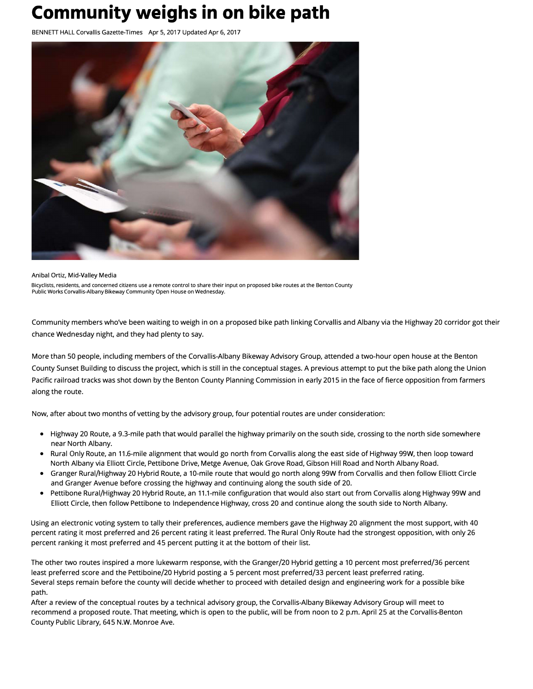## **Community weighs in on bike path**

BENNETI HALL Corvallis Gazette-Times Apr 5, 2017 Updated Apr 6, 2017



Anibal Ortiz, Mid-Valley Media Bicyclists, residents, and concerned citizens use a remote control to share their input on proposed bike routes at the Benton County Public Works Corvallis-Albany Bikeway Community Open House on Wednesday.

Community members who've been waiting to weigh in on a proposed bike path linking Corvallis and Albany via the Highway 20 corridor got their chance Wednesday night, and they had plenty to say.

More than 50 people, including members of the Corvallis-Albany Bikeway Advisory Group, attended a two-hour open house at the Benton County Sunset Building to discuss the project, which is still in the conceptual stages. A previous attempt to put the bike path along the Union Pacific railroad tracks was shot down by the Benton County Planning Commission in early 2015 in the face of fierce opposition from farmers along the route.

Now, after about two months of vetting by the advisory group, four potential routes are under consideration:

- Highway 20 Route, a 9.3-mile path that would parallel the highway primarily on the south side, crossing to the north side somewhere near North Albany.
- Rural Only Route, an 11.6-mile alignment that would go north from Corvallis along the east side of Highway 99W, then loop toward North Albany via Elliott Circle, Pettibone Drive, Metge Avenue, Oak Grove Road, Gibson Hill Road and North Albany Road.
- Granger Rural/Highway 20 Hybrid Route, a 10-mile route that would go north along 99W from Corvallis and then follow Elliott Circle and Granger Avenue before crossing the highway and continuing along the south side of 20.
- Pettibone Rural/Highway 20 Hybrid Route, an 11.1-mile configuration that would also start out from Corvallis along Highway 99W and Elliott Circle, then follow Pettibone to Independence Highway, cross 20 and continue along the south side to North Albany.

Using an electronic voting system to tally their preferences, audience members gave the Highway 20 alignment the most support, with 40 percent rating it most preferred and 26 percent rating it least preferred. The Rural Only Route had the strongest opposition, with only 26 percent ranking it most preferred and 45 percent putting it at the bottom of their list.

The other two routes inspired a more lukewarm response, with the Granger/20 Hybrid getting a 10 percent most preferred/36 percent least preferred score and the Pettiboine/20 Hybrid posting a 5 percent most preferred/33 percent least preferred rating. Several steps remain before the county will decide whether to proceed with detailed design and engineering work for a possible bike path.

After a review of the conceptual routes by a technical advisory group, the Corvallis-Albany Bikeway Advisory Group will meet to recommend a proposed route. That meeting, which is open to the public, will be from noon to 2 p.m. April 25 at the Corvallis-Benton County Public Library, 645 N.W. Monroe Ave.